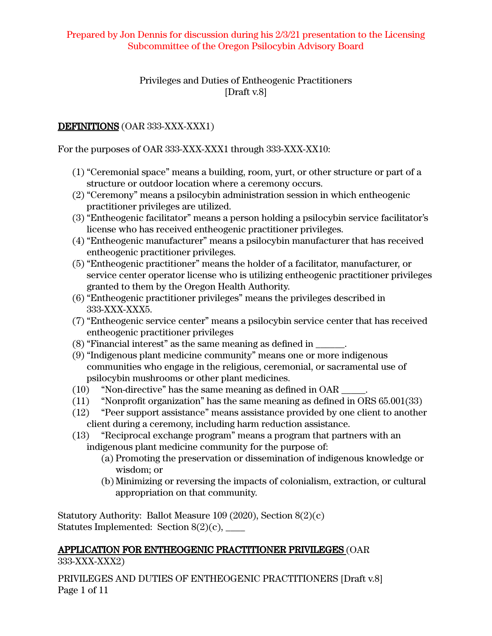## Privileges and Duties of Entheogenic Practitioners [Draft v.8]

# DEFINITIONS (OAR 333-XXX-XXX1)

For the purposes of OAR 333-XXX-XXX1 through 333-XXX-XX10:

- (1) "Ceremonial space" means a building, room, yurt, or other structure or part of a structure or outdoor location where a ceremony occurs.
- (2) "Ceremony" means a psilocybin administration session in which entheogenic practitioner privileges are utilized.
- (3) "Entheogenic facilitator" means a person holding a psilocybin service facilitator's license who has received entheogenic practitioner privileges.
- (4) "Entheogenic manufacturer" means a psilocybin manufacturer that has received entheogenic practitioner privileges.
- (5) "Entheogenic practitioner" means the holder of a facilitator, manufacturer, or service center operator license who is utilizing entheogenic practitioner privileges granted to them by the Oregon Health Authority.
- (6) "Entheogenic practitioner privileges" means the privileges described in 333-XXX-XXX5.
- (7) "Entheogenic service center" means a psilocybin service center that has received entheogenic practitioner privileges
- (8) "Financial interest" as the same meaning as defined in \_\_\_\_\_\_.
- (9) "Indigenous plant medicine community" means one or more indigenous communities who engage in the religious, ceremonial, or sacramental use of psilocybin mushrooms or other plant medicines.
- (10) "Non-directive" has the same meaning as defined in OAR \_\_\_\_\_.
- (11) "Nonprofit organization" has the same meaning as defined in ORS 65.001(33)
- (12) "Peer support assistance" means assistance provided by one client to another client during a ceremony, including harm reduction assistance.
- (13) "Reciprocal exchange program" means a program that partners with an indigenous plant medicine community for the purpose of:
	- (a) Promoting the preservation or dissemination of indigenous knowledge or wisdom; or
	- (b) Minimizing or reversing the impacts of colonialism, extraction, or cultural appropriation on that community.

Statutory Authority: Ballot Measure 109 (2020), Section 8(2)(c) Statutes Implemented: Section  $8(2)(c)$ ,

# APPLICATION FOR ENTHEOGENIC PRACTITIONER PRIVILEGES (OAR

333-XXX-XXX2)

PRIVILEGES AND DUTIES OF ENTHEOGENIC PRACTITIONERS [Draft v.8] Page 1 of 11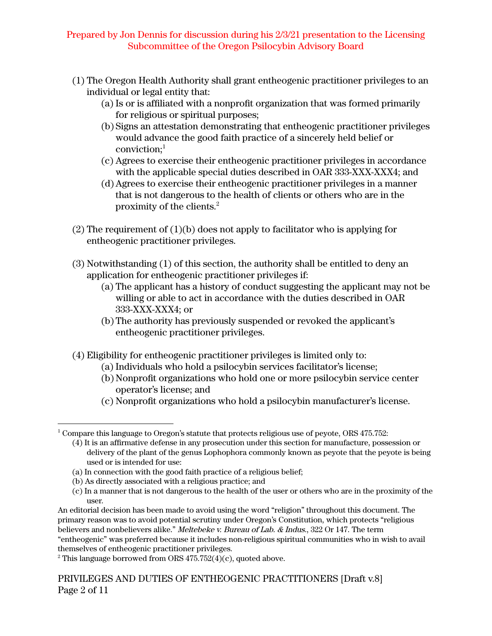- (1) The Oregon Health Authority shall grant entheogenic practitioner privileges to an individual or legal entity that:
	- (a) Is or is affiliated with a nonprofit organization that was formed primarily for religious or spiritual purposes;
	- (b) Signs an attestation demonstrating that entheogenic practitioner privileges would advance the good faith practice of a sincerely held belief or conviction; 1
	- (c) Agrees to exercise their entheogenic practitioner privileges in accordance with the applicable special duties described in OAR 333-XXX-XXX4; and
	- (d)Agrees to exercise their entheogenic practitioner privileges in a manner that is not dangerous to the health of clients or others who are in the proximity of the clients. $2$
- (2) The requirement of (1)(b) does not apply to facilitator who is applying for entheogenic practitioner privileges.
- (3) Notwithstanding (1) of this section, the authority shall be entitled to deny an application for entheogenic practitioner privileges if:
	- (a) The applicant has a history of conduct suggesting the applicant may not be willing or able to act in accordance with the duties described in OAR 333-XXX-XXX4; or
	- (b) The authority has previously suspended or revoked the applicant's entheogenic practitioner privileges.
- (4) Eligibility for entheogenic practitioner privileges is limited only to:
	- (a) Individuals who hold a psilocybin services facilitator's license;
	- (b) Nonprofit organizations who hold one or more psilocybin service center operator's license; and
	- (c) Nonprofit organizations who hold a psilocybin manufacturer's license.

- (4) It is an affirmative defense in any prosecution under this section for manufacture, possession or delivery of the plant of the genus Lophophora commonly known as peyote that the peyote is being used or is intended for use:
- (a) In connection with the good faith practice of a religious belief;
- (b) As directly associated with a religious practice; and
- (c) In a manner that is not dangerous to the health of the user or others who are in the proximity of the user.

 $1$ <sup>1</sup> Compare this language to Oregon's statute that protects religious use of peyote, ORS 475.752:

An editorial decision has been made to avoid using the word "religion" throughout this document. The primary reason was to avoid potential scrutiny under Oregon's Constitution, which protects "religious believers and nonbelievers alike." Meltebeke v. Bureau of Lab. & Indus., 322 Or 147. The term "entheogenic" was preferred because it includes non-religious spiritual communities who in wish to avail themselves of entheogenic practitioner privileges.

<sup>&</sup>lt;sup>2</sup> This language borrowed from ORS  $475.752(4)(c)$ , quoted above.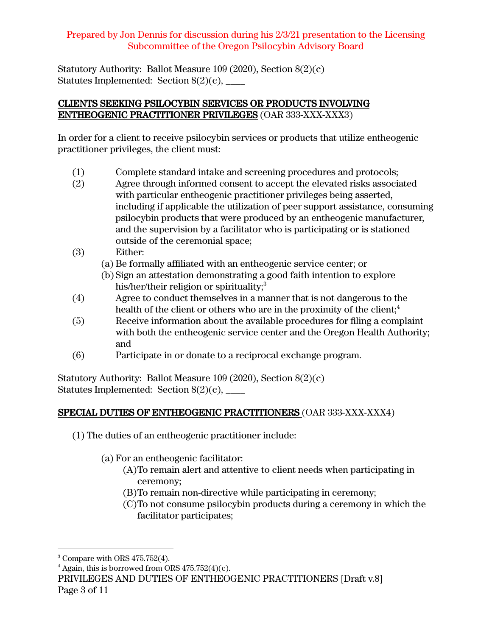Statutory Authority: Ballot Measure 109 (2020), Section 8(2)(c) Statutes Implemented: Section  $8(2)(c)$ ,

# CLIENTS SEEKING PSILOCYBIN SERVICES OR PRODUCTS INVOLVING ENTHEOGENIC PRACTITIONER PRIVILEGES (OAR 333-XXX-XXX3)

In order for a client to receive psilocybin services or products that utilize entheogenic practitioner privileges, the client must:

- (1) Complete standard intake and screening procedures and protocols;
- (2) Agree through informed consent to accept the elevated risks associated with particular entheogenic practitioner privileges being asserted, including if applicable the utilization of peer support assistance, consuming psilocybin products that were produced by an entheogenic manufacturer, and the supervision by a facilitator who is participating or is stationed outside of the ceremonial space;
- (3) Either:
	- (a) Be formally affiliated with an entheogenic service center; or
	- (b) Sign an attestation demonstrating a good faith intention to explore his/her/their religion or spirituality; $^3$
- (4) Agree to conduct themselves in a manner that is not dangerous to the health of the client or others who are in the proximity of the client; $^{\rm 4}$
- (5) Receive information about the available procedures for filing a complaint with both the entheogenic service center and the Oregon Health Authority; and
- (6) Participate in or donate to a reciprocal exchange program.

Statutory Authority: Ballot Measure 109 (2020), Section 8(2)(c) Statutes Implemented: Section  $8(2)(c)$ ,

# SPECIAL DUTIES OF ENTHEOGENIC PRACTITIONERS (OAR 333-XXX-XXX4)

- (1) The duties of an entheogenic practitioner include:
	- (a) For an entheogenic facilitator:
		- (A)To remain alert and attentive to client needs when participating in ceremony;
		- (B)To remain non-directive while participating in ceremony;
		- (C)To not consume psilocybin products during a ceremony in which the facilitator participates;

<sup>&</sup>lt;sup>3</sup> Compare with ORS 475.752(4).

 $4$  Again, this is borrowed from ORS 475.752(4)(c).

PRIVILEGES AND DUTIES OF ENTHEOGENIC PRACTITIONERS [Draft v.8] Page 3 of 11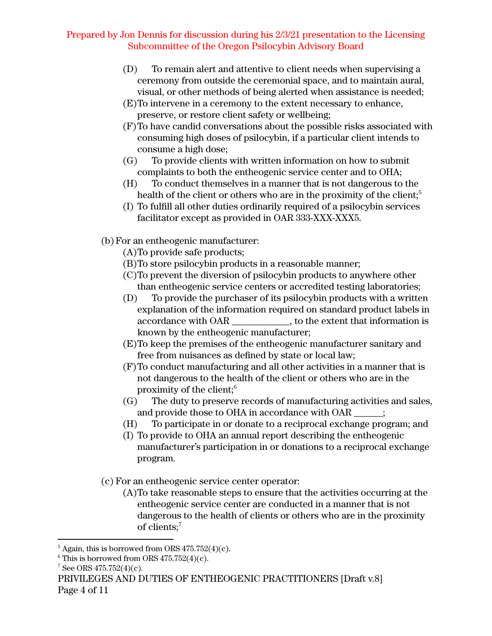- (D) To remain alert and attentive to client needs when supervising a ceremony from outside the ceremonial space, and to maintain aural, visual, or other methods of being alerted when assistance is needed;
- (E)To intervene in a ceremony to the extent necessary to enhance, preserve, or restore client safety or wellbeing;
- (F)To have candid conversations about the possible risks associated with consuming high doses of psilocybin, if a particular client intends to consume a high dose;
- (G) To provide clients with written information on how to submit complaints to both the entheogenic service center and to OHA;
- (H) To conduct themselves in a manner that is not dangerous to the health of the client or others who are in the proximity of the client; $^5$
- (I) To fulfill all other duties ordinarily required of a psilocybin services facilitator except as provided in OAR 333-XXX-XXX5.
- (b) For an entheogenic manufacturer:
	- (A)To provide safe products;
	- (B)To store psilocybin products in a reasonable manner;
	- (C)To prevent the diversion of psilocybin products to anywhere other than entheogenic service centers or accredited testing laboratories;
	- (D) To provide the purchaser of its psilocybin products with a written explanation of the information required on standard product labels in accordance with OAR \_\_\_\_\_\_\_\_\_\_\_\_, to the extent that information is known by the entheogenic manufacturer;
	- (E)To keep the premises of the entheogenic manufacturer sanitary and free from nuisances as defined by state or local law;
	- (F)To conduct manufacturing and all other activities in a manner that is not dangerous to the health of the client or others who are in the proximity of the client; $\delta$
	- (G) The duty to preserve records of manufacturing activities and sales, and provide those to OHA in accordance with OAR  $\qquad$  :
	- (H) To participate in or donate to a reciprocal exchange program; and
	- (I) To provide to OHA an annual report describing the entheogenic manufacturer's participation in or donations to a reciprocal exchange program.
- (c) For an entheogenic service center operator:
	- (A)To take reasonable steps to ensure that the activities occurring at the entheogenic service center are conducted in a manner that is not dangerous to the health of clients or others who are in the proximity of clients; 7

 $5$  Again, this is borrowed from ORS 475.752(4)(c).

 $6$  This is borrowed from ORS 475.752(4)(c).

 $7$  See ORS 475.752(4)(c).

PRIVILEGES AND DUTIES OF ENTHEOGENIC PRACTITIONERS [Draft v.8] Page 4 of 11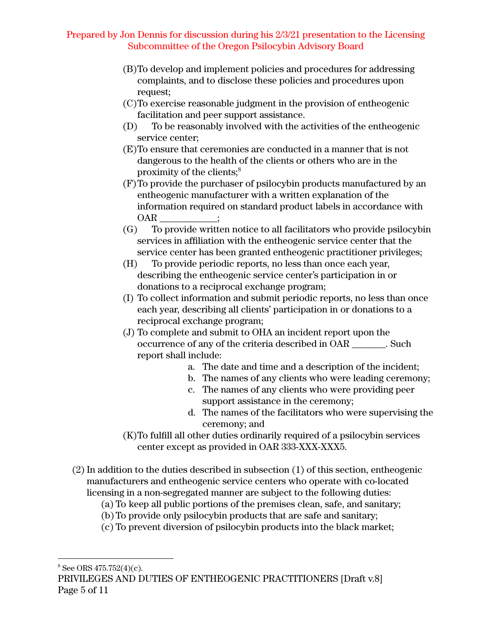- (B)To develop and implement policies and procedures for addressing complaints, and to disclose these policies and procedures upon request;
- (C)To exercise reasonable judgment in the provision of entheogenic facilitation and peer support assistance.
- (D) To be reasonably involved with the activities of the entheogenic service center;
- (E)To ensure that ceremonies are conducted in a manner that is not dangerous to the health of the clients or others who are in the proximity of the clients; 8
- (F)To provide the purchaser of psilocybin products manufactured by an entheogenic manufacturer with a written explanation of the information required on standard product labels in accordance with OAR :
- (G) To provide written notice to all facilitators who provide psilocybin services in affiliation with the entheogenic service center that the service center has been granted entheogenic practitioner privileges;
- (H) To provide periodic reports, no less than once each year, describing the entheogenic service center's participation in or donations to a reciprocal exchange program;
- (I) To collect information and submit periodic reports, no less than once each year, describing all clients' participation in or donations to a reciprocal exchange program;
- (J) To complete and submit to OHA an incident report upon the occurrence of any of the criteria described in OAR \_\_\_\_\_\_\_. Such report shall include:
	- a. The date and time and a description of the incident;
	- b. The names of any clients who were leading ceremony;
	- c. The names of any clients who were providing peer support assistance in the ceremony;
	- d. The names of the facilitators who were supervising the ceremony; and
- (K)To fulfill all other duties ordinarily required of a psilocybin services center except as provided in OAR 333-XXX-XXX5.
- (2) In addition to the duties described in subsection (1) of this section, entheogenic manufacturers and entheogenic service centers who operate with co-located licensing in a non-segregated manner are subject to the following duties:
	- (a) To keep all public portions of the premises clean, safe, and sanitary;
	- (b) To provide only psilocybin products that are safe and sanitary;
	- (c) To prevent diversion of psilocybin products into the black market;

 $8$  See ORS 475.752(4)(c).

PRIVILEGES AND DUTIES OF ENTHEOGENIC PRACTITIONERS [Draft v.8] Page 5 of 11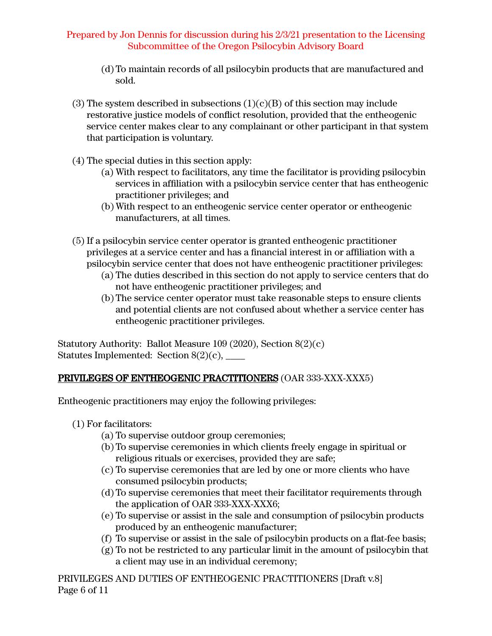- (d) To maintain records of all psilocybin products that are manufactured and sold.
- (3) The system described in subsections  $(1)(c)(B)$  of this section may include restorative justice models of conflict resolution, provided that the entheogenic service center makes clear to any complainant or other participant in that system that participation is voluntary.
- (4) The special duties in this section apply:
	- (a) With respect to facilitators, any time the facilitator is providing psilocybin services in affiliation with a psilocybin service center that has entheogenic practitioner privileges; and
	- (b) With respect to an entheogenic service center operator or entheogenic manufacturers, at all times.
- (5) If a psilocybin service center operator is granted entheogenic practitioner privileges at a service center and has a financial interest in or affiliation with a psilocybin service center that does not have entheogenic practitioner privileges:
	- (a) The duties described in this section do not apply to service centers that do not have entheogenic practitioner privileges; and
	- (b) The service center operator must take reasonable steps to ensure clients and potential clients are not confused about whether a service center has entheogenic practitioner privileges.

Statutory Authority: Ballot Measure 109 (2020), Section 8(2)(c) Statutes Implemented: Section  $8(2)(c)$ ,

# PRIVILEGES OF ENTHEOGENIC PRACTITIONERS (OAR 333-XXX-XXX5)

Entheogenic practitioners may enjoy the following privileges:

- (1) For facilitators:
	- (a) To supervise outdoor group ceremonies;
	- (b) To supervise ceremonies in which clients freely engage in spiritual or religious rituals or exercises, provided they are safe;
	- (c) To supervise ceremonies that are led by one or more clients who have consumed psilocybin products;
	- (d) To supervise ceremonies that meet their facilitator requirements through the application of OAR 333-XXX-XXX6;
	- (e) To supervise or assist in the sale and consumption of psilocybin products produced by an entheogenic manufacturer;
	- (f) To supervise or assist in the sale of psilocybin products on a flat-fee basis;
	- (g) To not be restricted to any particular limit in the amount of psilocybin that a client may use in an individual ceremony;

PRIVILEGES AND DUTIES OF ENTHEOGENIC PRACTITIONERS [Draft v.8] Page 6 of 11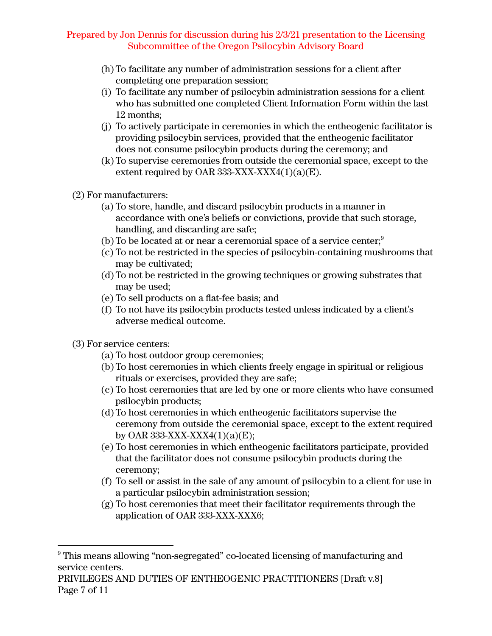- (h) To facilitate any number of administration sessions for a client after completing one preparation session;
- (i) To facilitate any number of psilocybin administration sessions for a client who has submitted one completed Client Information Form within the last 12 months;
- (j) To actively participate in ceremonies in which the entheogenic facilitator is providing psilocybin services, provided that the entheogenic facilitator does not consume psilocybin products during the ceremony; and
- (k) To supervise ceremonies from outside the ceremonial space, except to the extent required by OAR 333-XXX-XXX4 $(1)(a)(E)$ .
- (2) For manufacturers:
	- (a) To store, handle, and discard psilocybin products in a manner in accordance with one's beliefs or convictions, provide that such storage, handling, and discarding are safe;
	- (b) To be located at or near a ceremonial space of a service center; $^9$
	- (c) To not be restricted in the species of psilocybin-containing mushrooms that may be cultivated;
	- (d) To not be restricted in the growing techniques or growing substrates that may be used;
	- (e) To sell products on a flat-fee basis; and
	- (f) To not have its psilocybin products tested unless indicated by a client's adverse medical outcome.
- (3) For service centers:
	- (a) To host outdoor group ceremonies;
	- (b) To host ceremonies in which clients freely engage in spiritual or religious rituals or exercises, provided they are safe;
	- (c) To host ceremonies that are led by one or more clients who have consumed psilocybin products;
	- (d) To host ceremonies in which entheogenic facilitators supervise the ceremony from outside the ceremonial space, except to the extent required by OAR 333-XXX-XXX4 $(1)(a)(E)$ ;
	- (e) To host ceremonies in which entheogenic facilitators participate, provided that the facilitator does not consume psilocybin products during the ceremony;
	- (f) To sell or assist in the sale of any amount of psilocybin to a client for use in a particular psilocybin administration session;
	- (g) To host ceremonies that meet their facilitator requirements through the application of OAR 333-XXX-XXX6;

<sup>&</sup>lt;sup>9</sup> This means allowing "non-segregated" co-located licensing of manufacturing and service centers.

PRIVILEGES AND DUTIES OF ENTHEOGENIC PRACTITIONERS [Draft v.8] Page 7 of 11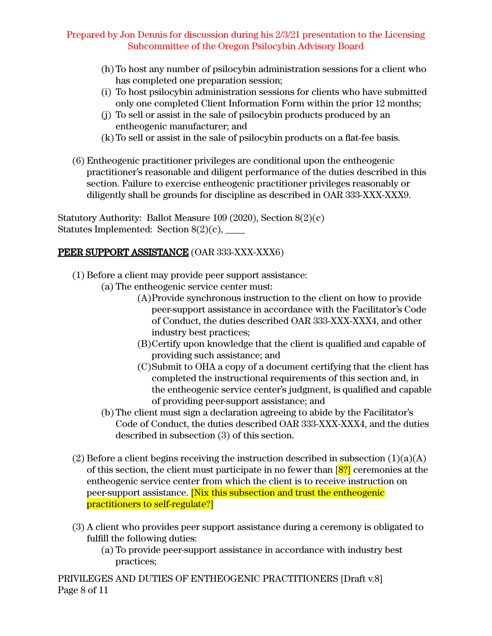- (h) To host any number of psilocybin administration sessions for a client who has completed one preparation session;
- (i) To host psilocybin administration sessions for clients who have submitted only one completed Client Information Form within the prior 12 months;
- (j) To sell or assist in the sale of psilocybin products produced by an entheogenic manufacturer; and
- (k) To sell or assist in the sale of psilocybin products on a flat-fee basis.
- (6) Entheogenic practitioner privileges are conditional upon the entheogenic practitioner's reasonable and diligent performance of the duties described in this section. Failure to exercise entheogenic practitioner privileges reasonably or diligently shall be grounds for discipline as described in OAR 333-XXX-XXX9.

Statutory Authority: Ballot Measure 109 (2020), Section 8(2)(c) Statutes Implemented: Section  $8(2)(c)$ , \_\_\_\_\_\_

# PEER SUPPORT ASSISTANCE (OAR 333-XXX-XXX6)

- (1) Before a client may provide peer support assistance:
	- (a) The entheogenic service center must:
		- (A)Provide synchronous instruction to the client on how to provide peer-support assistance in accordance with the Facilitator's Code of Conduct, the duties described OAR 333-XXX-XXX4, and other industry best practices;
		- (B)Certify upon knowledge that the client is qualified and capable of providing such assistance; and
		- (C)Submit to OHA a copy of a document certifying that the client has completed the instructional requirements of this section and, in the entheogenic service center's judgment, is qualified and capable of providing peer-support assistance; and
	- (b) The client must sign a declaration agreeing to abide by the Facilitator's Code of Conduct, the duties described OAR 333-XXX-XXX4, and the duties described in subsection (3) of this section.
- (2) Before a client begins receiving the instruction described in subsection  $(1)(a)(A)$ of this section, the client must participate in no fewer than [8?] ceremonies at the entheogenic service center from which the client is to receive instruction on peer-support assistance. [Nix this subsection and trust the entheogenic practitioners to self-regulate?]
- (3) A client who provides peer support assistance during a ceremony is obligated to fulfill the following duties:
	- (a) To provide peer-support assistance in accordance with industry best practices;

PRIVILEGES AND DUTIES OF ENTHEOGENIC PRACTITIONERS [Draft v.8] Page 8 of 11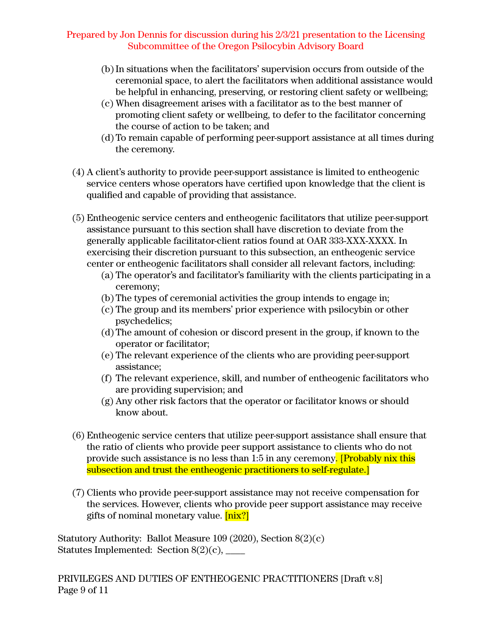- (b)In situations when the facilitators' supervision occurs from outside of the ceremonial space, to alert the facilitators when additional assistance would be helpful in enhancing, preserving, or restoring client safety or wellbeing;
- (c) When disagreement arises with a facilitator as to the best manner of promoting client safety or wellbeing, to defer to the facilitator concerning the course of action to be taken; and
- (d) To remain capable of performing peer-support assistance at all times during the ceremony.
- (4) A client's authority to provide peer-support assistance is limited to entheogenic service centers whose operators have certified upon knowledge that the client is qualified and capable of providing that assistance.
- (5) Entheogenic service centers and entheogenic facilitators that utilize peer-support assistance pursuant to this section shall have discretion to deviate from the generally applicable facilitator-client ratios found at OAR 333-XXX-XXXX. In exercising their discretion pursuant to this subsection, an entheogenic service center or entheogenic facilitators shall consider all relevant factors, including:
	- (a) The operator's and facilitator's familiarity with the clients participating in a ceremony;
	- (b) The types of ceremonial activities the group intends to engage in;
	- (c) The group and its members' prior experience with psilocybin or other psychedelics;
	- (d) The amount of cohesion or discord present in the group, if known to the operator or facilitator;
	- (e) The relevant experience of the clients who are providing peer-support assistance;
	- (f) The relevant experience, skill, and number of entheogenic facilitators who are providing supervision; and
	- (g) Any other risk factors that the operator or facilitator knows or should know about.
- (6) Entheogenic service centers that utilize peer-support assistance shall ensure that the ratio of clients who provide peer support assistance to clients who do not provide such assistance is no less than 1:5 in any ceremony. [Probably nix this subsection and trust the entheogenic practitioners to self-regulate.
- (7) Clients who provide peer-support assistance may not receive compensation for the services. However, clients who provide peer support assistance may receive gifts of nominal monetary value. [nix?]

Statutory Authority: Ballot Measure 109 (2020), Section 8(2)(c) Statutes Implemented: Section  $8(2)(c)$ , \_\_\_\_\_\_

PRIVILEGES AND DUTIES OF ENTHEOGENIC PRACTITIONERS [Draft v.8] Page 9 of 11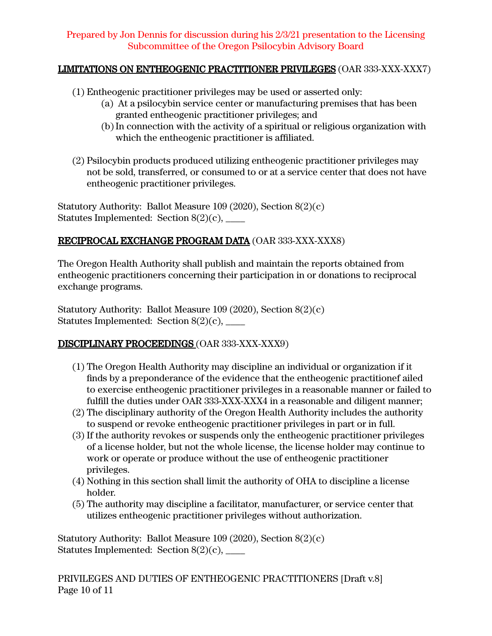# LIMITATIONS ON ENTHEOGENIC PRACTITIONER PRIVILEGES (OAR 333-XXX-XXX7)

- (1) Entheogenic practitioner privileges may be used or asserted only:
	- (a) At a psilocybin service center or manufacturing premises that has been granted entheogenic practitioner privileges; and
	- (b)In connection with the activity of a spiritual or religious organization with which the entheogenic practitioner is affiliated.
- (2) Psilocybin products produced utilizing entheogenic practitioner privileges may not be sold, transferred, or consumed to or at a service center that does not have entheogenic practitioner privileges.

Statutory Authority: Ballot Measure 109 (2020), Section 8(2)(c) Statutes Implemented: Section  $8(2)(c)$ ,

# RECIPROCAL EXCHANGE PROGRAM DATA (OAR 333-XXX-XXX8)

The Oregon Health Authority shall publish and maintain the reports obtained from entheogenic practitioners concerning their participation in or donations to reciprocal exchange programs.

Statutory Authority: Ballot Measure 109 (2020), Section 8(2)(c) Statutes Implemented: Section  $8(2)(c)$ , \_\_\_\_\_\_

# DISCIPLINARY PROCEEDINGS (OAR 333-XXX-XXX9)

- (1) The Oregon Health Authority may discipline an individual or organization if it finds by a preponderance of the evidence that the entheogenic practitionef ailed to exercise entheogenic practitioner privileges in a reasonable manner or failed to fulfill the duties under OAR 333-XXX-XXX4 in a reasonable and diligent manner;
- (2) The disciplinary authority of the Oregon Health Authority includes the authority to suspend or revoke entheogenic practitioner privileges in part or in full.
- (3) If the authority revokes or suspends only the entheogenic practitioner privileges of a license holder, but not the whole license, the license holder may continue to work or operate or produce without the use of entheogenic practitioner privileges.
- (4) Nothing in this section shall limit the authority of OHA to discipline a license holder.
- (5) The authority may discipline a facilitator, manufacturer, or service center that utilizes entheogenic practitioner privileges without authorization.

Statutory Authority: Ballot Measure 109 (2020), Section 8(2)(c) Statutes Implemented: Section  $8(2)(c)$ , \_\_\_\_\_\_

PRIVILEGES AND DUTIES OF ENTHEOGENIC PRACTITIONERS [Draft v.8] Page 10 of 11